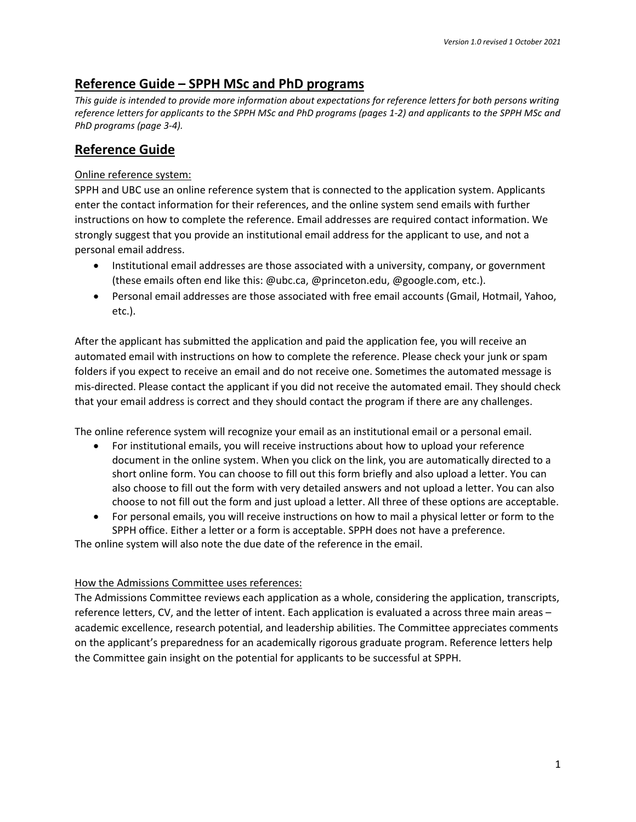# **Reference Guide – SPPH MSc and PhD programs**

*This guide is intended to provide more information about expectations for reference letters for both persons writing reference letters for applicants to the SPPH MSc and PhD programs (pages 1-2) and applicants to the SPPH MSc and PhD programs (page 3-4).*

# **Reference Guide**

#### Online reference system:

SPPH and UBC use an online reference system that is connected to the application system. Applicants enter the contact information for their references, and the online system send emails with further instructions on how to complete the reference. Email addresses are required contact information. We strongly suggest that you provide an institutional email address for the applicant to use, and not a personal email address.

- Institutional email addresses are those associated with a university, company, or government (these emails often end like this: @ubc.ca, @princeton.edu, @google.com, etc.).
- Personal email addresses are those associated with free email accounts (Gmail, Hotmail, Yahoo, etc.).

After the applicant has submitted the application and paid the application fee, you will receive an automated email with instructions on how to complete the reference. Please check your junk or spam folders if you expect to receive an email and do not receive one. Sometimes the automated message is mis-directed. Please contact the applicant if you did not receive the automated email. They should check that your email address is correct and they should contact the program if there are any challenges.

The online reference system will recognize your email as an institutional email or a personal email.

- For institutional emails, you will receive instructions about how to upload your reference document in the online system. When you click on the link, you are automatically directed to a short online form. You can choose to fill out this form briefly and also upload a letter. You can also choose to fill out the form with very detailed answers and not upload a letter. You can also choose to not fill out the form and just upload a letter. All three of these options are acceptable.
- For personal emails, you will receive instructions on how to mail a physical letter or form to the SPPH office. Either a letter or a form is acceptable. SPPH does not have a preference.

The online system will also note the due date of the reference in the email.

## How the Admissions Committee uses references:

The Admissions Committee reviews each application as a whole, considering the application, transcripts, reference letters, CV, and the letter of intent. Each application is evaluated a across three main areas – academic excellence, research potential, and leadership abilities. The Committee appreciates comments on the applicant's preparedness for an academically rigorous graduate program. Reference letters help the Committee gain insight on the potential for applicants to be successful at SPPH.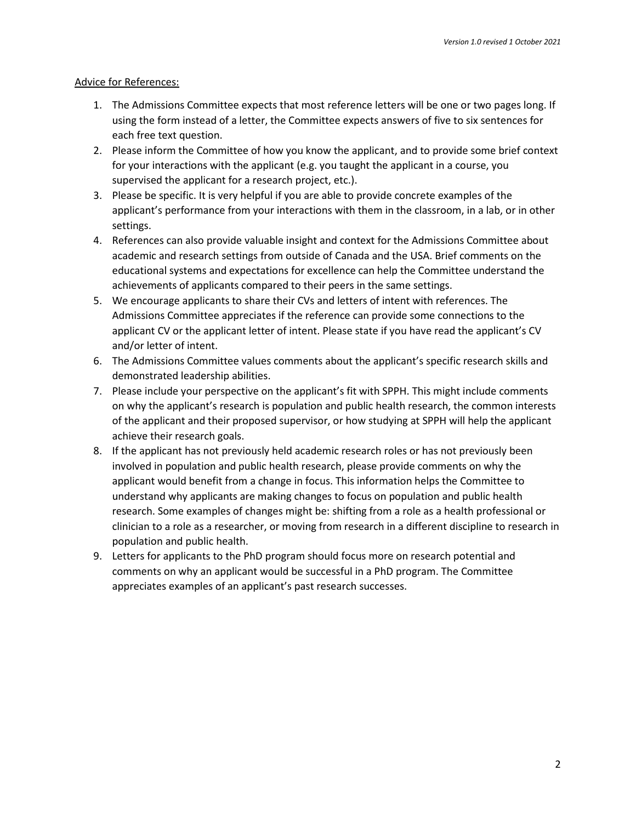#### Advice for References:

- 1. The Admissions Committee expects that most reference letters will be one or two pages long. If using the form instead of a letter, the Committee expects answers of five to six sentences for each free text question.
- 2. Please inform the Committee of how you know the applicant, and to provide some brief context for your interactions with the applicant (e.g. you taught the applicant in a course, you supervised the applicant for a research project, etc.).
- 3. Please be specific. It is very helpful if you are able to provide concrete examples of the applicant's performance from your interactions with them in the classroom, in a lab, or in other settings.
- 4. References can also provide valuable insight and context for the Admissions Committee about academic and research settings from outside of Canada and the USA. Brief comments on the educational systems and expectations for excellence can help the Committee understand the achievements of applicants compared to their peers in the same settings.
- 5. We encourage applicants to share their CVs and letters of intent with references. The Admissions Committee appreciates if the reference can provide some connections to the applicant CV or the applicant letter of intent. Please state if you have read the applicant's CV and/or letter of intent.
- 6. The Admissions Committee values comments about the applicant's specific research skills and demonstrated leadership abilities.
- 7. Please include your perspective on the applicant's fit with SPPH. This might include comments on why the applicant's research is population and public health research, the common interests of the applicant and their proposed supervisor, or how studying at SPPH will help the applicant achieve their research goals.
- 8. If the applicant has not previously held academic research roles or has not previously been involved in population and public health research, please provide comments on why the applicant would benefit from a change in focus. This information helps the Committee to understand why applicants are making changes to focus on population and public health research. Some examples of changes might be: shifting from a role as a health professional or clinician to a role as a researcher, or moving from research in a different discipline to research in population and public health.
- 9. Letters for applicants to the PhD program should focus more on research potential and comments on why an applicant would be successful in a PhD program. The Committee appreciates examples of an applicant's past research successes.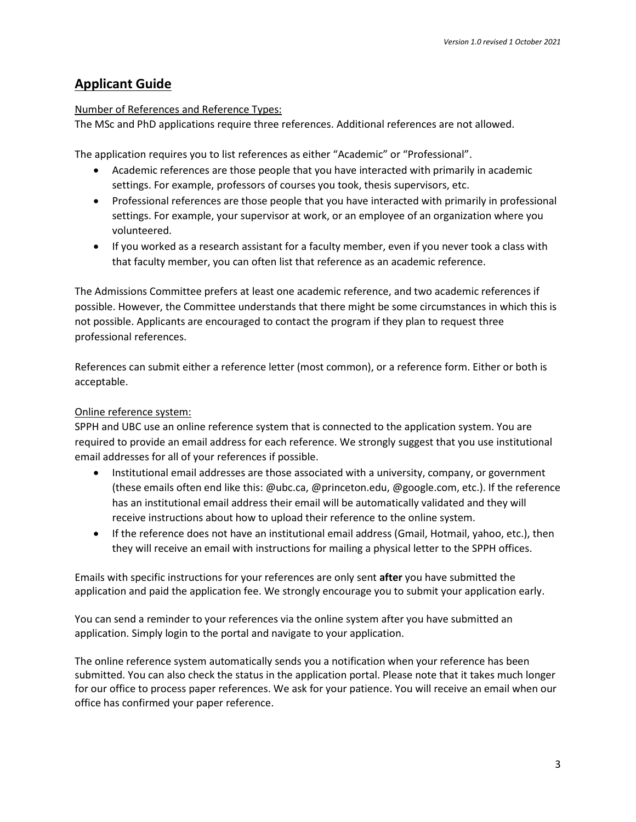# **Applicant Guide**

#### Number of References and Reference Types:

The MSc and PhD applications require three references. Additional references are not allowed.

The application requires you to list references as either "Academic" or "Professional".

- Academic references are those people that you have interacted with primarily in academic settings. For example, professors of courses you took, thesis supervisors, etc.
- Professional references are those people that you have interacted with primarily in professional settings. For example, your supervisor at work, or an employee of an organization where you volunteered.
- If you worked as a research assistant for a faculty member, even if you never took a class with that faculty member, you can often list that reference as an academic reference.

The Admissions Committee prefers at least one academic reference, and two academic references if possible. However, the Committee understands that there might be some circumstances in which this is not possible. Applicants are encouraged to contact the program if they plan to request three professional references.

References can submit either a reference letter (most common), or a reference form. Either or both is acceptable.

## Online reference system:

SPPH and UBC use an online reference system that is connected to the application system. You are required to provide an email address for each reference. We strongly suggest that you use institutional email addresses for all of your references if possible.

- Institutional email addresses are those associated with a university, company, or government (these emails often end like this: @ubc.ca, @princeton.edu, @google.com, etc.). If the reference has an institutional email address their email will be automatically validated and they will receive instructions about how to upload their reference to the online system.
- If the reference does not have an institutional email address (Gmail, Hotmail, yahoo, etc.), then they will receive an email with instructions for mailing a physical letter to the SPPH offices.

Emails with specific instructions for your references are only sent **after** you have submitted the application and paid the application fee. We strongly encourage you to submit your application early.

You can send a reminder to your references via the online system after you have submitted an application. Simply login to the portal and navigate to your application.

The online reference system automatically sends you a notification when your reference has been submitted. You can also check the status in the application portal. Please note that it takes much longer for our office to process paper references. We ask for your patience. You will receive an email when our office has confirmed your paper reference.